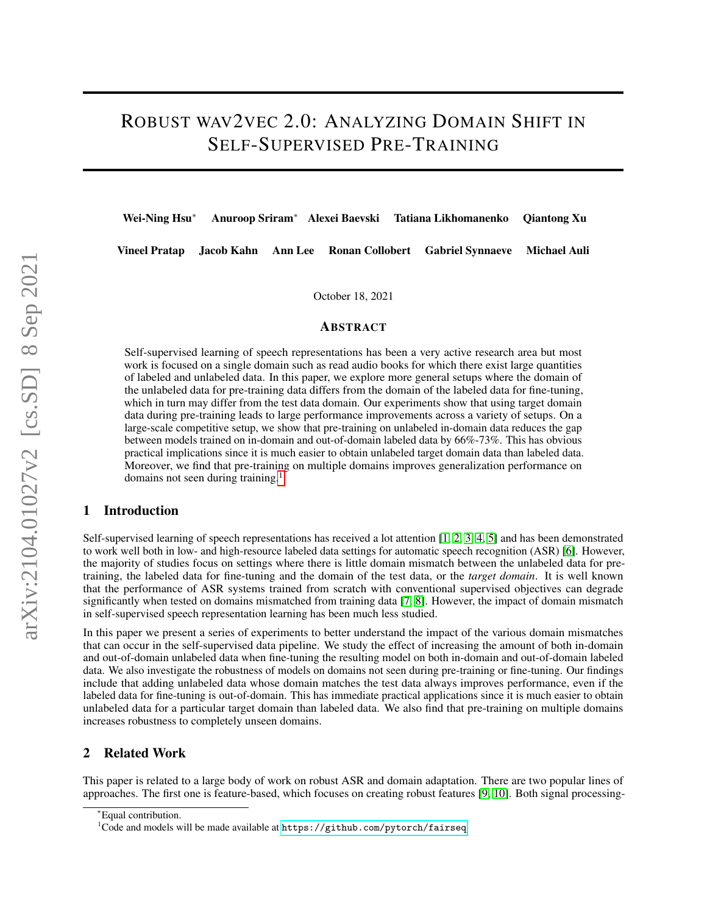# ROBUST WAV2VEC 2.0: ANALYZING DOMAIN SHIFT IN SELF-SUPERVISED PRE-TRAINING

Wei-Ning Hsu<sup>∗</sup> Anuroop Sriram<sup>∗</sup> Alexei Baevski Tatiana Likhomanenko Qiantong Xu

Vineel Pratap Jacob Kahn Ann Lee Ronan Collobert Gabriel Synnaeve Michael Auli

October 18, 2021

#### ABSTRACT

Self-supervised learning of speech representations has been a very active research area but most work is focused on a single domain such as read audio books for which there exist large quantities of labeled and unlabeled data. In this paper, we explore more general setups where the domain of the unlabeled data for pre-training data differs from the domain of the labeled data for fine-tuning, which in turn may differ from the test data domain. Our experiments show that using target domain data during pre-training leads to large performance improvements across a variety of setups. On a large-scale competitive setup, we show that pre-training on unlabeled in-domain data reduces the gap between models trained on in-domain and out-of-domain labeled data by 66%-73%. This has obvious practical implications since it is much easier to obtain unlabeled target domain data than labeled data. Moreover, we find that pre-training on multiple domains improves generalization performance on domains not seen during training.<sup>[1](#page-0-0)</sup>

## 1 Introduction

Self-supervised learning of speech representations has received a lot attention [\[1,](#page-7-0) [2,](#page-7-1) [3,](#page-7-2) [4,](#page-7-3) [5\]](#page-7-4) and has been demonstrated to work well both in low- and high-resource labeled data settings for automatic speech recognition (ASR) [\[6\]](#page-7-5). However, the majority of studies focus on settings where there is little domain mismatch between the unlabeled data for pretraining, the labeled data for fine-tuning and the domain of the test data, or the *target domain*. It is well known that the performance of ASR systems trained from scratch with conventional supervised objectives can degrade significantly when tested on domains mismatched from training data [\[7,](#page-7-6) [8\]](#page-7-7). However, the impact of domain mismatch in self-supervised speech representation learning has been much less studied.

In this paper we present a series of experiments to better understand the impact of the various domain mismatches that can occur in the self-supervised data pipeline. We study the effect of increasing the amount of both in-domain and out-of-domain unlabeled data when fine-tuning the resulting model on both in-domain and out-of-domain labeled data. We also investigate the robustness of models on domains not seen during pre-training or fine-tuning. Our findings include that adding unlabeled data whose domain matches the test data always improves performance, even if the labeled data for fine-tuning is out-of-domain. This has immediate practical applications since it is much easier to obtain unlabeled data for a particular target domain than labeled data. We also find that pre-training on multiple domains increases robustness to completely unseen domains.

## 2 Related Work

This paper is related to a large body of work on robust ASR and domain adaptation. There are two popular lines of approaches. The first one is feature-based, which focuses on creating robust features [\[9,](#page-7-8) [10\]](#page-7-9). Both signal processing-

<sup>∗</sup>Equal contribution.

<span id="page-0-0"></span> $1$ Code and models will be made available at  $https://github.com/python/fairseq$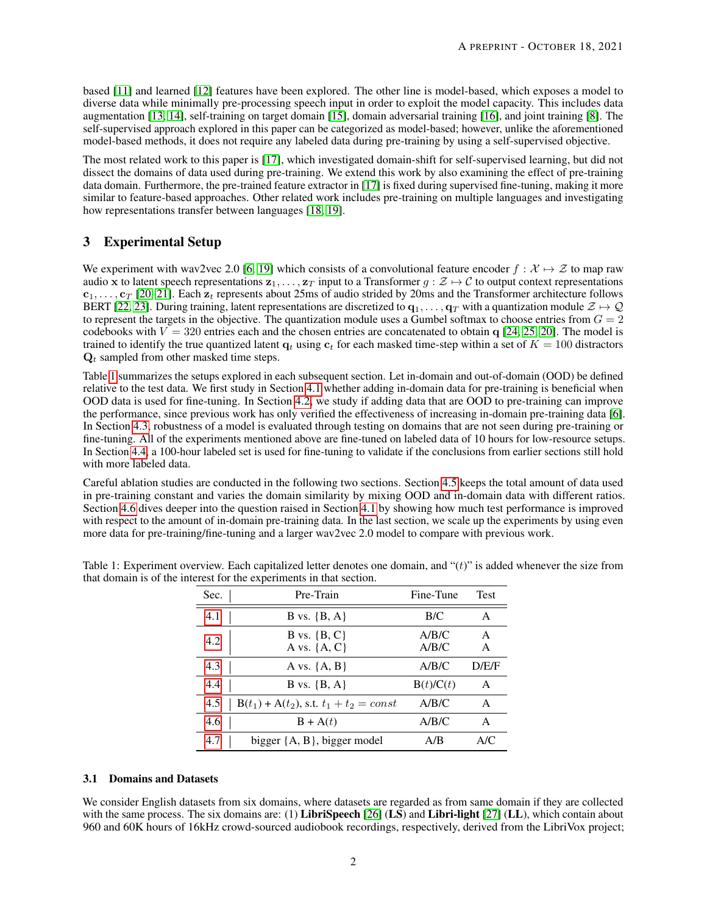based [\[11\]](#page-7-10) and learned [\[12\]](#page-7-11) features have been explored. The other line is model-based, which exposes a model to diverse data while minimally pre-processing speech input in order to exploit the model capacity. This includes data augmentation [\[13,](#page-7-12) [14\]](#page-7-13), self-training on target domain [\[15\]](#page-7-14), domain adversarial training [\[16\]](#page-7-15), and joint training [\[8\]](#page-7-7). The self-supervised approach explored in this paper can be categorized as model-based; however, unlike the aforementioned model-based methods, it does not require any labeled data during pre-training by using a self-supervised objective.

The most related work to this paper is [\[17\]](#page-7-16), which investigated domain-shift for self-supervised learning, but did not dissect the domains of data used during pre-training. We extend this work by also examining the effect of pre-training data domain. Furthermore, the pre-trained feature extractor in [\[17\]](#page-7-16) is fixed during supervised fine-tuning, making it more similar to feature-based approaches. Other related work includes pre-training on multiple languages and investigating how representations transfer between languages [\[18,](#page-7-17) [19\]](#page-7-18).

# 3 Experimental Setup

We experiment with wav2vec 2.0 [\[6,](#page-7-5) [19\]](#page-7-18) which consists of a convolutional feature encoder  $f : \mathcal{X} \mapsto \mathcal{Z}$  to map raw audio x to latent speech representations  $z_1, \ldots, z_T$  input to a Transformer  $g : \mathcal{Z} \mapsto \mathcal{C}$  to output context representations  $c_1, \ldots, c_T$  [\[20,](#page-7-19) [21\]](#page-7-20). Each  $z_t$  represents about 25ms of audio strided by 20ms and the Transformer architecture follows BERT [\[22,](#page-7-21) [23\]](#page-7-22). During training, latent representations are discretized to  $q_1, \ldots, q_T$  with a quantization module  $\mathcal{Z} \mapsto \mathcal{Q}$ to represent the targets in the objective. The quantization module uses a Gumbel softmax to choose entries from  $G = 2$ codebooks with  $V = 320$  entries each and the chosen entries are concatenated to obtain q [\[24,](#page-7-23) [25,](#page-8-0) [20\]](#page-7-19). The model is trained to identify the true quantized latent  $q_t$  using  $c_t$  for each masked time-step within a set of  $K = 100$  distractors  $Q_t$  sampled from other masked time steps.

Table [1](#page-1-0) summarizes the setups explored in each subsequent section. Let in-domain and out-of-domain (OOD) be defined relative to the test data. We first study in Section [4.1](#page-2-0) whether adding in-domain data for pre-training is beneficial when OOD data is used for fine-tuning. In Section [4.2,](#page-3-0) we study if adding data that are OOD to pre-training can improve the performance, since previous work has only verified the effectiveness of increasing in-domain pre-training data [\[6\]](#page-7-5). In Section [4.3,](#page-3-1) robustness of a model is evaluated through testing on domains that are not seen during pre-training or fine-tuning. All of the experiments mentioned above are fine-tuned on labeled data of 10 hours for low-resource setups. In Section [4.4,](#page-4-0) a 100-hour labeled set is used for fine-tuning to validate if the conclusions from earlier sections still hold with more labeled data.

Careful ablation studies are conducted in the following two sections. Section [4.5](#page-4-1) keeps the total amount of data used in pre-training constant and varies the domain similarity by mixing OOD and in-domain data with different ratios. Section [4.6](#page-4-2) dives deeper into the question raised in Section [4.1](#page-2-0) by showing how much test performance is improved with respect to the amount of in-domain pre-training data. In the last section, we scale up the experiments by using even more data for pre-training/fine-tuning and a larger wav2vec 2.0 model to compare with previous work.

| Sec. | Pre-Train                                    | Fine-Tune      | <b>Test</b> |
|------|----------------------------------------------|----------------|-------------|
| 4.1  | B vs. $\{B, A\}$                             | B/C            | A           |
| 4.2  | B vs. $\{B, C\}$<br>A vs. $\{A, C\}$         | A/B/C<br>A/B/C | A<br>A      |
| 4.3  | A vs. $\{A, B\}$                             | A/B/C          | D/E/F       |
| 4.4  | B vs. $\{B, A\}$                             | B(t)/C(t)      | A           |
| 4.5  | $B(t_1) + A(t_2)$ , s.t. $t_1 + t_2 = const$ | A/B/C          | A           |
| 4.6  | $B + A(t)$                                   | A/B/C          | A           |
| 4.7  | bigger $\{A, B\}$ , bigger model             | A/B            | A/C         |

<span id="page-1-0"></span>Table 1: Experiment overview. Each capitalized letter denotes one domain, and " $(t)$ " is added whenever the size from that domain is of the interest for the experiments in that section.

#### 3.1 Domains and Datasets

We consider English datasets from six domains, where datasets are regarded as from same domain if they are collected with the same process. The six domains are: (1) LibriSpeech  $[26]$  (LS) and Libri-light  $[27]$  (LL), which contain about 960 and 60K hours of 16kHz crowd-sourced audiobook recordings, respectively, derived from the LibriVox project;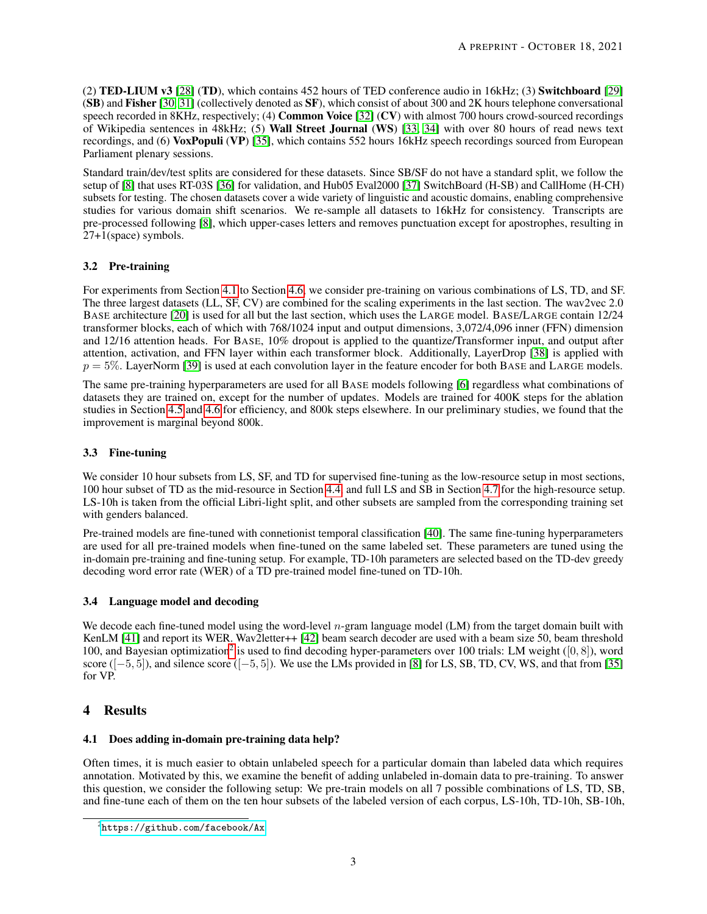(2) TED-LIUM v3 [\[28\]](#page-8-3) (TD), which contains 452 hours of TED conference audio in 16kHz; (3) Switchboard [\[29\]](#page-8-4) **(SB)** and Fisher [\[30,](#page-8-5) [31\]](#page-8-6) (collectively denoted as  $SF$ ), which consist of about 300 and 2K hours telephone conversational speech recorded in 8KHz, respectively; (4) **Common Voice** [\[32\]](#page-8-7)  $(CV)$  with almost 700 hours crowd-sourced recordings of Wikipedia sentences in 48kHz; (5) Wall Street Journal (WS) [\[33,](#page-8-8) [34\]](#page-8-9) with over 80 hours of read news text recordings, and (6) VoxPopuli (VP) [\[35\]](#page-8-10), which contains 552 hours 16kHz speech recordings sourced from European Parliament plenary sessions.

Standard train/dev/test splits are considered for these datasets. Since SB/SF do not have a standard split, we follow the setup of [\[8\]](#page-7-7) that uses RT-03S [\[36\]](#page-8-11) for validation, and Hub05 Eval2000 [\[37\]](#page-8-12) SwitchBoard (H-SB) and CallHome (H-CH) subsets for testing. The chosen datasets cover a wide variety of linguistic and acoustic domains, enabling comprehensive studies for various domain shift scenarios. We re-sample all datasets to 16kHz for consistency. Transcripts are pre-processed following [\[8\]](#page-7-7), which upper-cases letters and removes punctuation except for apostrophes, resulting in 27+1(space) symbols.

## 3.2 Pre-training

For experiments from Section [4.1](#page-2-0) to Section [4.6,](#page-4-2) we consider pre-training on various combinations of LS, TD, and SF. The three largest datasets (LL, SF, CV) are combined for the scaling experiments in the last section. The wav2vec 2.0 BASE architecture [\[20\]](#page-7-19) is used for all but the last section, which uses the LARGE model. BASE/LARGE contain 12/24 transformer blocks, each of which with 768/1024 input and output dimensions, 3,072/4,096 inner (FFN) dimension and 12/16 attention heads. For BASE, 10% dropout is applied to the quantize/Transformer input, and output after attention, activation, and FFN layer within each transformer block. Additionally, LayerDrop [\[38\]](#page-8-13) is applied with  $p = 5\%$ . LayerNorm [\[39\]](#page-8-14) is used at each convolution layer in the feature encoder for both BASE and LARGE models.

The same pre-training hyperparameters are used for all BASE models following [\[6\]](#page-7-5) regardless what combinations of datasets they are trained on, except for the number of updates. Models are trained for 400K steps for the ablation studies in Section [4.5](#page-4-1) and [4.6](#page-4-2) for efficiency, and 800k steps elsewhere. In our preliminary studies, we found that the improvement is marginal beyond 800k.

## 3.3 Fine-tuning

We consider 10 hour subsets from LS, SF, and TD for supervised fine-tuning as the low-resource setup in most sections, 100 hour subset of TD as the mid-resource in Section [4.4,](#page-4-0) and full LS and SB in Section [4.7](#page-5-0) for the high-resource setup. LS-10h is taken from the official Libri-light split, and other subsets are sampled from the corresponding training set with genders balanced.

Pre-trained models are fine-tuned with connetionist temporal classification [\[40\]](#page-8-15). The same fine-tuning hyperparameters are used for all pre-trained models when fine-tuned on the same labeled set. These parameters are tuned using the in-domain pre-training and fine-tuning setup. For example, TD-10h parameters are selected based on the TD-dev greedy decoding word error rate (WER) of a TD pre-trained model fine-tuned on TD-10h.

## 3.4 Language model and decoding

We decode each fine-tuned model using the word-level  $n$ -gram language model (LM) from the target domain built with KenLM [\[41\]](#page-8-16) and report its WER. Wav2letter++ [\[42\]](#page-8-17) beam search decoder are used with a beam size 50, beam threshold 100, and Bayesian optimization<sup>[2](#page-2-1)</sup> is used to find decoding hyper-parameters over 100 trials: LM weight ([0, 8]), word score  $([-5, 5])$ , and silence score  $([-5, 5])$ . We use the LMs provided in [\[8\]](#page-7-7) for LS, SB, TD, CV, WS, and that from [\[35\]](#page-8-10) for VP.

## 4 Results

## <span id="page-2-0"></span>4.1 Does adding in-domain pre-training data help?

Often times, it is much easier to obtain unlabeled speech for a particular domain than labeled data which requires annotation. Motivated by this, we examine the benefit of adding unlabeled in-domain data to pre-training. To answer this question, we consider the following setup: We pre-train models on all 7 possible combinations of LS, TD, SB, and fine-tune each of them on the ten hour subsets of the labeled version of each corpus, LS-10h, TD-10h, SB-10h,

<span id="page-2-1"></span> $^{2}$ <https://github.com/facebook/Ax>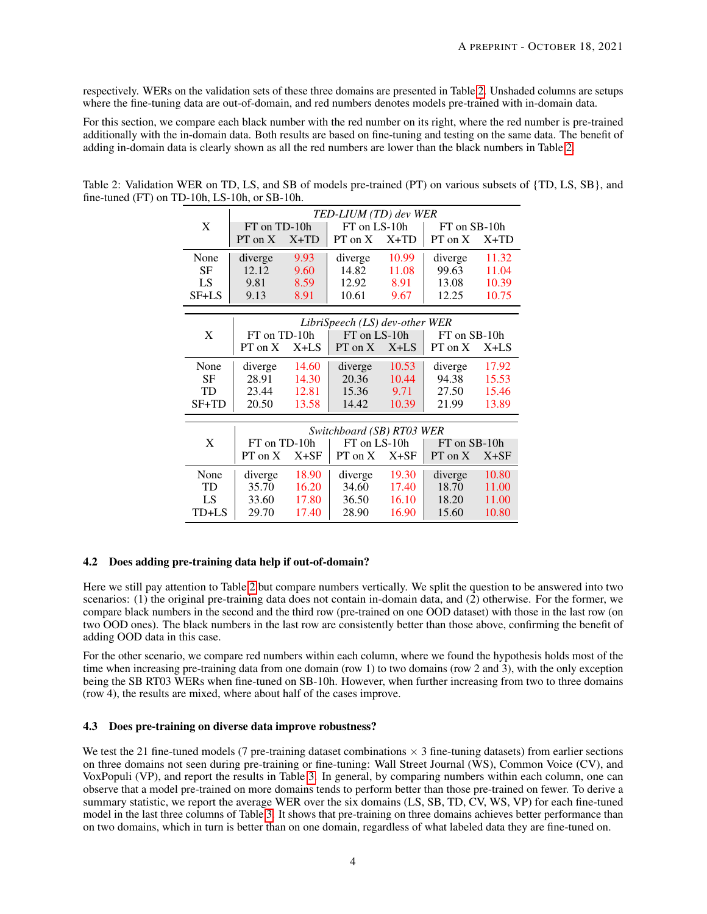respectively. WERs on the validation sets of these three domains are presented in Table [2.](#page-3-2) Unshaded columns are setups where the fine-tuning data are out-of-domain, and red numbers denotes models pre-trained with in-domain data.

For this section, we compare each black number with the red number on its right, where the red number is pre-trained additionally with the in-domain data. Both results are based on fine-tuning and testing on the same data. The benefit of adding in-domain data is clearly shown as all the red numbers are lower than the black numbers in Table [2.](#page-3-2)

|           |              |        | TED-LIUM (TD) dev WER                     |        |              |        |  |
|-----------|--------------|--------|-------------------------------------------|--------|--------------|--------|--|
| X         | FT on TD-10h |        | FT on LS-10h                              |        | FT on SB-10h |        |  |
|           | $PT$ on $X$  | $X+TD$ | $PT$ on $X$                               | $X+TD$ | PT on X      | $X+TD$ |  |
| None      | diverge      | 9.93   | diverge                                   | 10.99  | diverge      | 11.32  |  |
| <b>SF</b> | 12.12        | 9.60   | 14.82                                     | 11.08  | 99.63        | 11.04  |  |
| LS        | 9.81         | 8.59   | 12.92                                     | 8.91   | 13.08        | 10.39  |  |
| SF+LS     | 9.13         | 8.91   | 10.61                                     | 9.67   | 12.25        | 10.75  |  |
|           |              |        | LibriSpeech (LS) dev-other WER            |        |              |        |  |
| X         | FT on TD-10h |        | FT on LS-10h                              |        | FT on SB-10h |        |  |
|           | $PT$ on $X$  | $X+LS$ | $PT$ on $X$                               | $X+LS$ | PT on X      | $X+LS$ |  |
|           |              |        |                                           |        |              |        |  |
| None      | diverge      | 14.60  | diverge                                   | 10.53  | diverge      | 17.92  |  |
| <b>SF</b> | 28.91        | 14.30  | 20.36                                     | 10.44  | 94.38        | 15.53  |  |
| TD        | 23.44        | 12.81  | 15.36                                     | 9.71   | 27.50        | 15.46  |  |
| SF+TD     | 20.50        | 13.58  | 14.42                                     | 10.39  | 21.99        | 13.89  |  |
|           |              |        |                                           |        |              |        |  |
| X         | FT on TD-10h |        | Switchboard (SB) RT03 WER<br>FT on LS-10h |        | FT on SB-10h |        |  |
|           |              |        |                                           |        |              |        |  |
|           | $PT$ on $X$  | $X+SF$ | $PT$ on $X$                               | $X+SF$ | $PT$ on $X$  | $X+SF$ |  |
| None      | diverge      | 18.90  | diverge                                   | 19.30  | diverge      | 10.80  |  |
| <b>TD</b> | 35.70        | 16.20  | 34.60                                     | 17.40  | 18.70        | 11.00  |  |
| LS        | 33.60        | 17.80  | 36.50                                     | 16.10  | 18.20        | 11.00  |  |
| TD+LS     | 29.70        | 17.40  | 28.90                                     | 16.90  | 15.60        | 10.80  |  |

<span id="page-3-2"></span>Table 2: Validation WER on TD, LS, and SB of models pre-trained (PT) on various subsets of {TD, LS, SB}, and fine-tuned (FT) on TD-10h, LS-10h, or SB-10h.

#### <span id="page-3-0"></span>4.2 Does adding pre-training data help if out-of-domain?

Here we still pay attention to Table [2](#page-3-2) but compare numbers vertically. We split the question to be answered into two scenarios: (1) the original pre-training data does not contain in-domain data, and (2) otherwise. For the former, we compare black numbers in the second and the third row (pre-trained on one OOD dataset) with those in the last row (on two OOD ones). The black numbers in the last row are consistently better than those above, confirming the benefit of adding OOD data in this case.

For the other scenario, we compare red numbers within each column, where we found the hypothesis holds most of the time when increasing pre-training data from one domain (row 1) to two domains (row 2 and 3), with the only exception being the SB RT03 WERs when fine-tuned on SB-10h. However, when further increasing from two to three domains (row 4), the results are mixed, where about half of the cases improve.

#### <span id="page-3-1"></span>4.3 Does pre-training on diverse data improve robustness?

We test the 21 fine-tuned models (7 pre-training dataset combinations  $\times$  3 fine-tuning datasets) from earlier sections on three domains not seen during pre-training or fine-tuning: Wall Street Journal (WS), Common Voice (CV), and VoxPopuli (VP), and report the results in Table [3.](#page-4-3) In general, by comparing numbers within each column, one can observe that a model pre-trained on more domains tends to perform better than those pre-trained on fewer. To derive a summary statistic, we report the average WER over the six domains (LS, SB, TD, CV, WS, VP) for each fine-tuned model in the last three columns of Table [3.](#page-4-3) It shows that pre-training on three domains achieves better performance than on two domains, which in turn is better than on one domain, regardless of what labeled data they are fine-tuned on.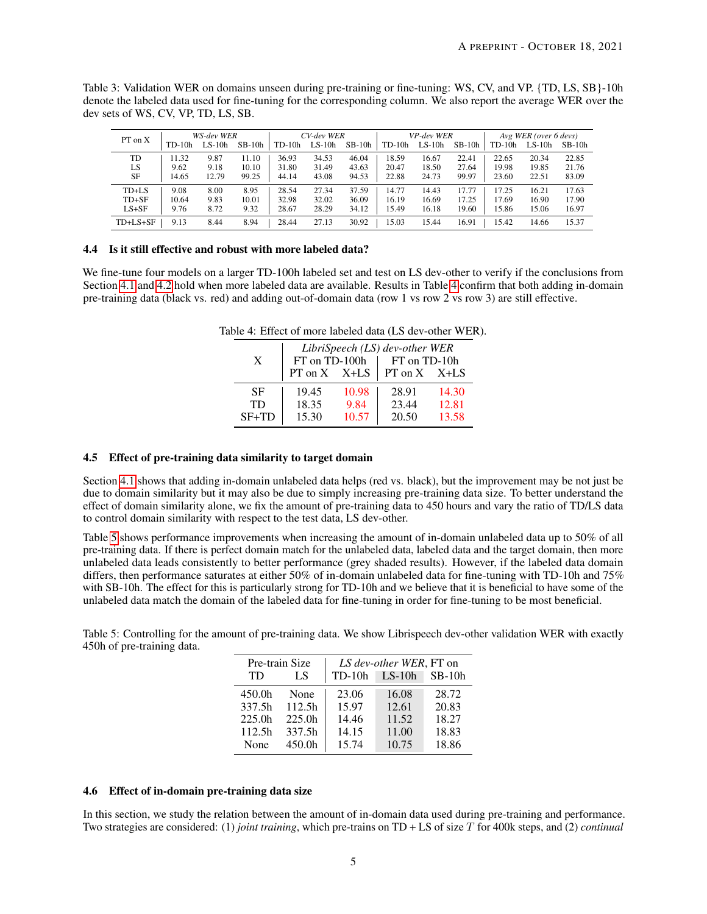| PT on X    | WS-dev WER |          | CV-dev WER |          | VP-dev WER |          |          | Avg WER (over 6 devs) |          |          |          |          |
|------------|------------|----------|------------|----------|------------|----------|----------|-----------------------|----------|----------|----------|----------|
|            | $TD-10h$   | $LS-10h$ | $SB-10h$   | $TD-10h$ | $LS-10h$   | $SB-10h$ | $TD-10h$ | $LS-10h$              | $SB-10h$ | $TD-10h$ | $LS-10h$ | $SB-10h$ |
| TD         | 11.32      | 9.87     | 11.10      | 36.93    | 34.53      | 46.04    | 18.59    | 16.67                 | 22.41    | 22.65    | 20.34    | 22.85    |
| LS         | 9.62       | 9.18     | 10.10      | 31.80    | 31.49      | 43.63    | 20.47    | 18.50                 | 27.64    | 19.98    | 19.85    | 21.76    |
| SF         | 14.65      | 12.79    | 99.25      | 44.14    | 43.08      | 94.53    | 22.88    | 24.73                 | 99.97    | 23.60    | 22.51    | 83.09    |
| TD+LS      | 9.08       | 8.00     | 8.95       | 28.54    | 27.34      | 37.59    | 14.77    | 14.43                 | 17.77    | 17.25    | 16.21    | 17.63    |
| $TD + SF$  | 10.64      | 9.83     | 10.01      | 32.98    | 32.02      | 36.09    | 16.19    | 16.69                 | 17.25    | 17.69    | 16.90    | 17.90    |
| $LS+SF$    | 9.76       | 8.72     | 9.32       | 28.67    | 28.29      | 34.12    | 15.49    | 16.18                 | 19.60    | 15.86    | 15.06    | 16.97    |
| $TD+LS+SF$ | 9.13       | 8.44     | 8.94       | 28.44    | 27.13      | 30.92    | 15.03    | 15.44                 | 16.91    | 15.42    | 14.66    | 15.37    |

<span id="page-4-3"></span>Table 3: Validation WER on domains unseen during pre-training or fine-tuning: WS, CV, and VP. {TD, LS, SB}-10h denote the labeled data used for fine-tuning for the corresponding column. We also report the average WER over the dev sets of WS, CV, VP, TD, LS, SB.

#### <span id="page-4-0"></span>4.4 Is it still effective and robust with more labeled data?

<span id="page-4-4"></span>We fine-tune four models on a larger TD-100h labeled set and test on LS dev-other to verify if the conclusions from Section [4.1](#page-2-0) and [4.2](#page-3-0) hold when more labeled data are available. Results in Table [4](#page-4-4) confirm that both adding in-domain pre-training data (black vs. red) and adding out-of-domain data (row 1 vs row 2 vs row 3) are still effective.

|         | LibriSpeech (LS) dev-other WER |       |                        |       |  |  |  |  |
|---------|--------------------------------|-------|------------------------|-------|--|--|--|--|
| X       | FT on TD-100h                  |       | FT on TD-10h           |       |  |  |  |  |
|         | PT on $X$ $X+LS$               |       | $\vert$ PT on X $X+LS$ |       |  |  |  |  |
| SF      | 19.45                          | 10.98 | 28.91                  | 14.30 |  |  |  |  |
| TD      | 18.35                          | 9.84  | 23.44                  | 12.81 |  |  |  |  |
| $SF+TD$ | 15.30                          | 10.57 | 20.50                  | 13.58 |  |  |  |  |

Table 4: Effect of more labeled data (LS dev-other WER).

## <span id="page-4-1"></span>4.5 Effect of pre-training data similarity to target domain

Section [4.1](#page-2-0) shows that adding in-domain unlabeled data helps (red vs. black), but the improvement may be not just be due to domain similarity but it may also be due to simply increasing pre-training data size. To better understand the effect of domain similarity alone, we fix the amount of pre-training data to 450 hours and vary the ratio of TD/LS data to control domain similarity with respect to the test data, LS dev-other.

Table [5](#page-4-5) shows performance improvements when increasing the amount of in-domain unlabeled data up to 50% of all pre-training data. If there is perfect domain match for the unlabeled data, labeled data and the target domain, then more unlabeled data leads consistently to better performance (grey shaded results). However, if the labeled data domain differs, then performance saturates at either 50% of in-domain unlabeled data for fine-tuning with TD-10h and 75% with SB-10h. The effect for this is particularly strong for TD-10h and we believe that it is beneficial to have some of the unlabeled data match the domain of the labeled data for fine-tuning in order for fine-tuning to be most beneficial.

<span id="page-4-5"></span>Table 5: Controlling for the amount of pre-training data. We show Librispeech dev-other validation WER with exactly 450h of pre-training data.

|                    | Pre-train Size | LS dev-other WER, FT on |          |          |  |  |  |
|--------------------|----------------|-------------------------|----------|----------|--|--|--|
| TD                 | LS             | $TD-10h$                | $LS-10h$ | $SB-10h$ |  |  |  |
| 450.0h             | None           | 23.06                   | 16.08    | 28.72    |  |  |  |
| 337.5h             | 112.5h         | 15.97                   | 12.61    | 20.83    |  |  |  |
| 225.0 <sub>h</sub> | 225.0h         | 14.46                   | 11.52    | 18.27    |  |  |  |
| 112.5h             | 337.5h         | 14.15                   | 11.00    | 18.83    |  |  |  |
| None               | 450.0h         | 15.74                   | 10.75    | 18.86    |  |  |  |

#### <span id="page-4-2"></span>4.6 Effect of in-domain pre-training data size

In this section, we study the relation between the amount of in-domain data used during pre-training and performance. Two strategies are considered: (1) *joint training*, which pre-trains on TD + LS of size T for 400k steps, and (2) *continual*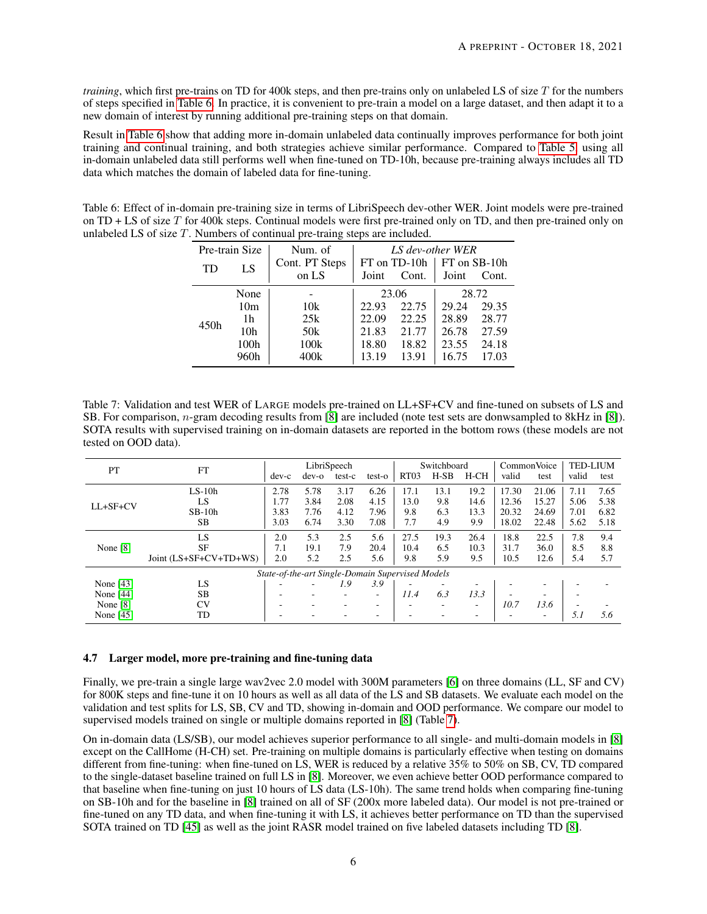*training*, which first pre-trains on TD for 400k steps, and then pre-trains only on unlabeled LS of size T for the numbers of steps specified in [Table 6.](#page-5-1) In practice, it is convenient to pre-train a model on a large dataset, and then adapt it to a new domain of interest by running additional pre-training steps on that domain.

Result in [Table 6](#page-5-1) show that adding more in-domain unlabeled data continually improves performance for both joint training and continual training, and both strategies achieve similar performance. Compared to [Table 5,](#page-4-5) using all in-domain unlabeled data still performs well when fine-tuned on TD-10h, because pre-training always includes all TD data which matches the domain of labeled data for fine-tuning.

<span id="page-5-1"></span>Table 6: Effect of in-domain pre-training size in terms of LibriSpeech dev-other WER. Joint models were pre-trained on TD + LS of size T for 400k steps. Continual models were first pre-trained only on TD, and then pre-trained only on unlabeled LS of size T. Numbers of continual pre-traing steps are included.

| Pre-train Size |                 | Num. of                  | LS dev-other WER |                       |       |                       |  |  |
|----------------|-----------------|--------------------------|------------------|-----------------------|-------|-----------------------|--|--|
| TD             | LS              | Cont. PT Steps<br>on LS  | Joint            | FT on TD-10h<br>Cont. | Joint | FT on SB-10h<br>Cont. |  |  |
|                | None            | $\overline{\phantom{a}}$ |                  | 23.06                 |       | 28.72                 |  |  |
|                | 10 <sub>m</sub> | 10k                      | 22.93            | 22.75                 | 29.24 | 29.35                 |  |  |
| 450h           | 1h              | 25k                      | 22.09            | 22.25                 | 28.89 | 28.77                 |  |  |
|                | 10 <sub>h</sub> | 50k                      | 21.83            | 21.77                 | 26.78 | 27.59                 |  |  |
|                | 100h            | 100k                     | 18.80            | 18.82                 | 23.55 | 24.18                 |  |  |
|                | 960h            | 400k                     | 13.19            | 13.91                 | 16.75 | 17.03                 |  |  |

<span id="page-5-2"></span>Table 7: Validation and test WER of LARGE models pre-trained on LL+SF+CV and fine-tuned on subsets of LS and SB. For comparison, n-gram decoding results from [\[8\]](#page-7-7) are included (note test sets are donwsampled to 8kHz in [\[8\]](#page-7-7)). SOTA results with supervised training on in-domain datasets are reported in the bottom rows (these models are not tested on OOD data).

| PT<br><b>FT</b> |                        |       |                                                  | LibriSpeech |        | Switchboard      |        |        | Common Voice |       | <b>TED-LIUM</b> |      |
|-----------------|------------------------|-------|--------------------------------------------------|-------------|--------|------------------|--------|--------|--------------|-------|-----------------|------|
|                 |                        | dev-c | $dev-o$                                          | test-c      | test-o | RT <sub>03</sub> | $H-SB$ | $H-CH$ | valid        | test  | valid           | test |
|                 | $LS-10h$               | 2.78  | 5.78                                             | 3.17        | 6.26   | 17.1             | 13.1   | 19.2   | 17.30        | 21.06 | 7.11            | 7.65 |
| $LL+SF+CV$      | LS                     | 1.77  | 3.84                                             | 2.08        | 4.15   | 13.0             | 9.8    | 14.6   | 12.36        | 15.27 | 5.06            | 5.38 |
|                 | $SB-10h$               | 3.83  | 7.76                                             | 4.12        | 7.96   | 9.8              | 6.3    | 13.3   | 20.32        | 24.69 | 7.01            | 6.82 |
|                 | <b>SB</b>              | 3.03  | 6.74                                             | 3.30        | 7.08   | 7.7              | 4.9    | 9.9    | 18.02        | 22.48 | 5.62            | 5.18 |
|                 | LS                     | 2.0   | 5.3                                              | 2.5         | 5.6    | 27.5             | 19.3   | 26.4   | 18.8         | 22.5  | 7.8             | 9.4  |
| None $[8]$      | <b>SF</b>              | 7.1   | 19.1                                             | 7.9         | 20.4   | 10.4             | 6.5    | 10.3   | 31.7         | 36.0  | 8.5             | 8.8  |
|                 | Joint (LS+SF+CV+TD+WS) | 2.0   | 5.2                                              | 2.5         | 5.6    | 9.8              | 5.9    | 9.5    | 10.5         | 12.6  | 5.4             | 5.7  |
|                 |                        |       | State-of-the-art Single-Domain Supervised Models |             |        |                  |        |        |              |       |                 |      |
| None $[43]$     | LS                     |       |                                                  | 1.9         | 3.9    |                  |        | ۰      |              |       |                 |      |
| None $[44]$     | <b>SB</b>              |       |                                                  |             | ۰.     | 11.4             | 6.3    | 13.3   |              |       |                 |      |
| None $[8]$      | <b>CV</b>              |       |                                                  |             |        |                  | -      | ٠      | 10.7         | 13.6  |                 |      |
| None $[45]$     | TD                     |       |                                                  |             |        |                  |        | -      |              | ۰     | 5.1             | 5.6  |

#### <span id="page-5-0"></span>4.7 Larger model, more pre-training and fine-tuning data

Finally, we pre-train a single large wav2vec 2.0 model with 300M parameters [\[6\]](#page-7-5) on three domains (LL, SF and CV) for 800K steps and fine-tune it on 10 hours as well as all data of the LS and SB datasets. We evaluate each model on the validation and test splits for LS, SB, CV and TD, showing in-domain and OOD performance. We compare our model to supervised models trained on single or multiple domains reported in [\[8\]](#page-7-7) (Table [7\)](#page-5-2).

On in-domain data (LS/SB), our model achieves superior performance to all single- and multi-domain models in [\[8\]](#page-7-7) except on the CallHome (H-CH) set. Pre-training on multiple domains is particularly effective when testing on domains different from fine-tuning: when fine-tuned on LS, WER is reduced by a relative 35% to 50% on SB, CV, TD compared to the single-dataset baseline trained on full LS in [\[8\]](#page-7-7). Moreover, we even achieve better OOD performance compared to that baseline when fine-tuning on just 10 hours of LS data (LS-10h). The same trend holds when comparing fine-tuning on SB-10h and for the baseline in [\[8\]](#page-7-7) trained on all of SF (200x more labeled data). Our model is not pre-trained or fine-tuned on any TD data, and when fine-tuning it with LS, it achieves better performance on TD than the supervised SOTA trained on TD [\[45\]](#page-8-20) as well as the joint RASR model trained on five labeled datasets including TD [\[8\]](#page-7-7).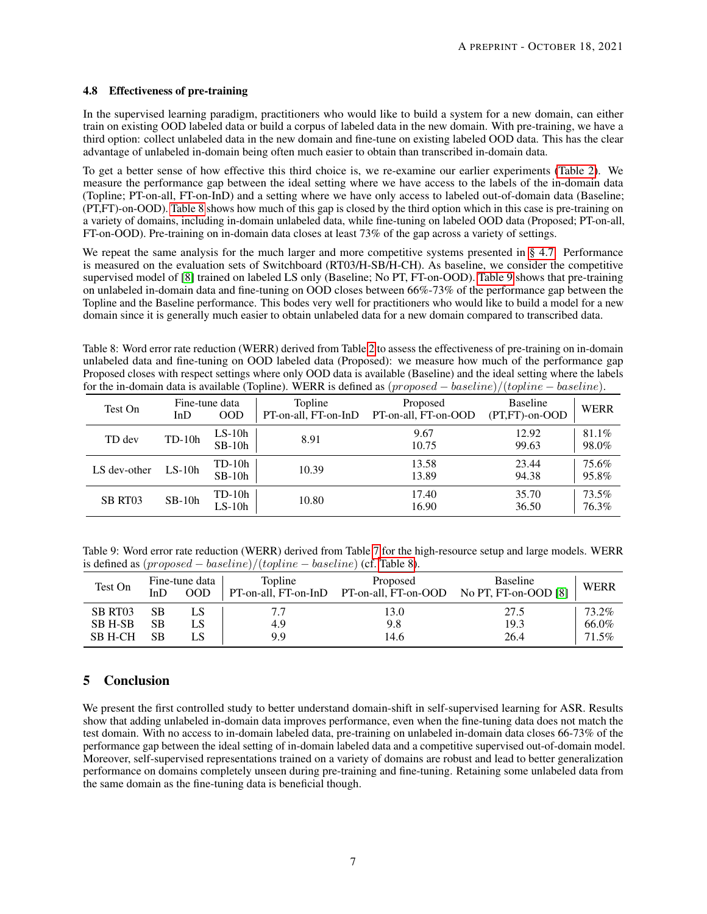#### 4.8 Effectiveness of pre-training

In the supervised learning paradigm, practitioners who would like to build a system for a new domain, can either train on existing OOD labeled data or build a corpus of labeled data in the new domain. With pre-training, we have a third option: collect unlabeled data in the new domain and fine-tune on existing labeled OOD data. This has the clear advantage of unlabeled in-domain being often much easier to obtain than transcribed in-domain data.

To get a better sense of how effective this third choice is, we re-examine our earlier experiments [\(Table 2\)](#page-3-2). We measure the performance gap between the ideal setting where we have access to the labels of the in-domain data (Topline; PT-on-all, FT-on-InD) and a setting where we have only access to labeled out-of-domain data (Baseline; (PT,FT)-on-OOD). [Table 8](#page-6-0) shows how much of this gap is closed by the third option which in this case is pre-training on a variety of domains, including in-domain unlabeled data, while fine-tuning on labeled OOD data (Proposed; PT-on-all, FT-on-OOD). Pre-training on in-domain data closes at least 73% of the gap across a variety of settings.

We repeat the same analysis for the much larger and more competitive systems presented in [§ 4.7.](#page-5-0) Performance is measured on the evaluation sets of Switchboard (RT03/H-SB/H-CH). As baseline, we consider the competitive supervised model of [\[8\]](#page-7-7) trained on labeled LS only (Baseline; No PT, FT-on-OOD). [Table 9](#page-6-1) shows that pre-training on unlabeled in-domain data and fine-tuning on OOD closes between 66%-73% of the performance gap between the Topline and the Baseline performance. This bodes very well for practitioners who would like to build a model for a new domain since it is generally much easier to obtain unlabeled data for a new domain compared to transcribed data.

<span id="page-6-0"></span>Table 8: Word error rate reduction (WERR) derived from Table [2](#page-3-2) to assess the effectiveness of pre-training on in-domain unlabeled data and fine-tuning on OOD labeled data (Proposed): we measure how much of the performance gap Proposed closes with respect settings where only OOD data is available (Baseline) and the ideal setting where the labels for the in-domain data is available (Topline). WERR is defined as (proposed − baseline)/(topline − baseline).

| Test On      | InD      | Fine-tune data<br><b>OOD</b> | Topline<br>PT-on-all, FT-on-InD | Proposed<br>PT-on-all, FT-on-OOD | <b>Baseline</b><br>$(PT.FT)-on-OOD$ | WERR           |
|--------------|----------|------------------------------|---------------------------------|----------------------------------|-------------------------------------|----------------|
| TD dev       | $TD-10h$ | $LS-10h$<br>$SB-10h$         | 8.91                            | 9.67<br>10.75                    | 12.92<br>99.63                      | 81.1%<br>98.0% |
| LS dev-other | $LS-10h$ | $TD-10h$<br>$SB-10h$         | 10.39                           | 13.58<br>13.89                   | 23.44<br>94.38                      | 75.6%<br>95.8% |
| SB RT03      | $SB-10h$ | TD-10h<br>$LS-10h$           | 10.80                           | 17.40<br>16.90                   | 35.70<br>36.50                      | 73.5%<br>76.3% |

<span id="page-6-1"></span>Table 9: Word error rate reduction (WERR) derived from Table [7](#page-5-2) for the high-resource setup and large models. WERR is defined as  $(proposed - baseline)/(topline - baseline)$  (cf. [Table 8\)](#page-6-0).

| Test On | InD | Fine-tune data<br>00D | Topline<br>PT-on-all, FT-on-InD | Proposed<br>PT-on-all, FT-on-OOD | <b>Baseline</b><br>No PT, FT-on-OOD $[8]$ | <b>WERR</b> |
|---------|-----|-----------------------|---------------------------------|----------------------------------|-------------------------------------------|-------------|
| SB RT03 | SВ  |                       |                                 | 13.0                             | 27.5                                      | 73.2%       |
| SB H-SB | SВ  |                       | 4.9                             | 9.8                              | 19.3                                      | 66.0%       |
| SB H-CH | SВ  | LS.                   | 9.9                             | 14.6                             | 26.4                                      | 71.5%       |

## 5 Conclusion

We present the first controlled study to better understand domain-shift in self-supervised learning for ASR. Results show that adding unlabeled in-domain data improves performance, even when the fine-tuning data does not match the test domain. With no access to in-domain labeled data, pre-training on unlabeled in-domain data closes 66-73% of the performance gap between the ideal setting of in-domain labeled data and a competitive supervised out-of-domain model. Moreover, self-supervised representations trained on a variety of domains are robust and lead to better generalization performance on domains completely unseen during pre-training and fine-tuning. Retaining some unlabeled data from the same domain as the fine-tuning data is beneficial though.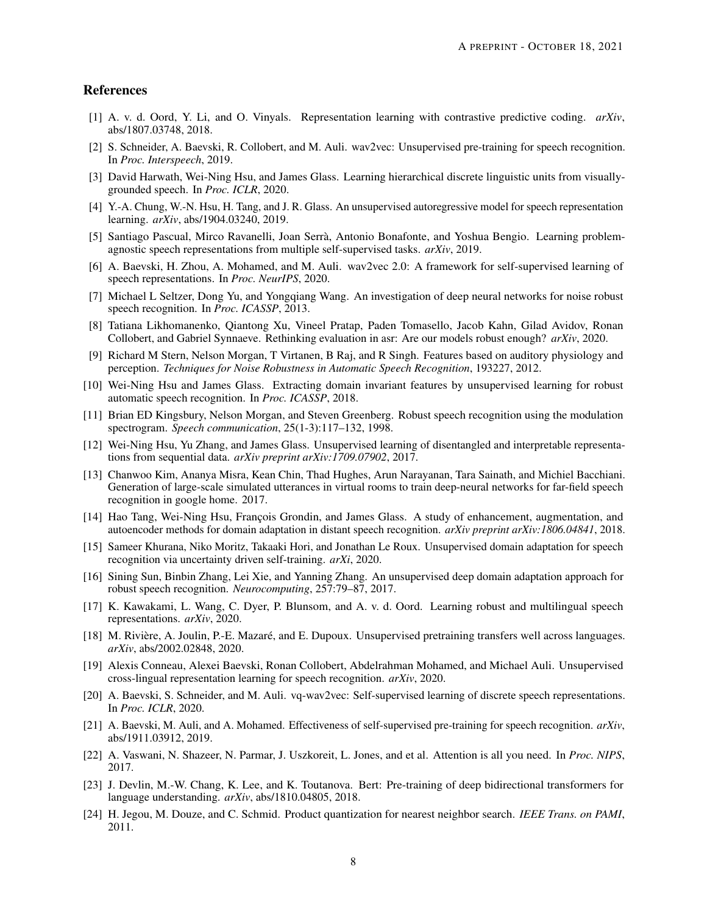## References

- <span id="page-7-0"></span>[1] A. v. d. Oord, Y. Li, and O. Vinyals. Representation learning with contrastive predictive coding. *arXiv*, abs/1807.03748, 2018.
- <span id="page-7-1"></span>[2] S. Schneider, A. Baevski, R. Collobert, and M. Auli. wav2vec: Unsupervised pre-training for speech recognition. In *Proc. Interspeech*, 2019.
- <span id="page-7-2"></span>[3] David Harwath, Wei-Ning Hsu, and James Glass. Learning hierarchical discrete linguistic units from visuallygrounded speech. In *Proc. ICLR*, 2020.
- <span id="page-7-3"></span>[4] Y.-A. Chung, W.-N. Hsu, H. Tang, and J. R. Glass. An unsupervised autoregressive model for speech representation learning. *arXiv*, abs/1904.03240, 2019.
- <span id="page-7-4"></span>[5] Santiago Pascual, Mirco Ravanelli, Joan Serrà, Antonio Bonafonte, and Yoshua Bengio. Learning problemagnostic speech representations from multiple self-supervised tasks. *arXiv*, 2019.
- <span id="page-7-5"></span>[6] A. Baevski, H. Zhou, A. Mohamed, and M. Auli. wav2vec 2.0: A framework for self-supervised learning of speech representations. In *Proc. NeurIPS*, 2020.
- <span id="page-7-6"></span>[7] Michael L Seltzer, Dong Yu, and Yongqiang Wang. An investigation of deep neural networks for noise robust speech recognition. In *Proc. ICASSP*, 2013.
- <span id="page-7-7"></span>[8] Tatiana Likhomanenko, Qiantong Xu, Vineel Pratap, Paden Tomasello, Jacob Kahn, Gilad Avidov, Ronan Collobert, and Gabriel Synnaeve. Rethinking evaluation in asr: Are our models robust enough? *arXiv*, 2020.
- <span id="page-7-8"></span>[9] Richard M Stern, Nelson Morgan, T Virtanen, B Raj, and R Singh. Features based on auditory physiology and perception. *Techniques for Noise Robustness in Automatic Speech Recognition*, 193227, 2012.
- <span id="page-7-9"></span>[10] Wei-Ning Hsu and James Glass. Extracting domain invariant features by unsupervised learning for robust automatic speech recognition. In *Proc. ICASSP*, 2018.
- <span id="page-7-10"></span>[11] Brian ED Kingsbury, Nelson Morgan, and Steven Greenberg. Robust speech recognition using the modulation spectrogram. *Speech communication*, 25(1-3):117–132, 1998.
- <span id="page-7-11"></span>[12] Wei-Ning Hsu, Yu Zhang, and James Glass. Unsupervised learning of disentangled and interpretable representations from sequential data. *arXiv preprint arXiv:1709.07902*, 2017.
- <span id="page-7-12"></span>[13] Chanwoo Kim, Ananya Misra, Kean Chin, Thad Hughes, Arun Narayanan, Tara Sainath, and Michiel Bacchiani. Generation of large-scale simulated utterances in virtual rooms to train deep-neural networks for far-field speech recognition in google home. 2017.
- <span id="page-7-13"></span>[14] Hao Tang, Wei-Ning Hsu, François Grondin, and James Glass. A study of enhancement, augmentation, and autoencoder methods for domain adaptation in distant speech recognition. *arXiv preprint arXiv:1806.04841*, 2018.
- <span id="page-7-14"></span>[15] Sameer Khurana, Niko Moritz, Takaaki Hori, and Jonathan Le Roux. Unsupervised domain adaptation for speech recognition via uncertainty driven self-training. *arXi*, 2020.
- <span id="page-7-15"></span>[16] Sining Sun, Binbin Zhang, Lei Xie, and Yanning Zhang. An unsupervised deep domain adaptation approach for robust speech recognition. *Neurocomputing*, 257:79–87, 2017.
- <span id="page-7-16"></span>[17] K. Kawakami, L. Wang, C. Dyer, P. Blunsom, and A. v. d. Oord. Learning robust and multilingual speech representations. *arXiv*, 2020.
- <span id="page-7-17"></span>[18] M. Rivière, A. Joulin, P.-E. Mazaré, and E. Dupoux. Unsupervised pretraining transfers well across languages. *arXiv*, abs/2002.02848, 2020.
- <span id="page-7-18"></span>[19] Alexis Conneau, Alexei Baevski, Ronan Collobert, Abdelrahman Mohamed, and Michael Auli. Unsupervised cross-lingual representation learning for speech recognition. *arXiv*, 2020.
- <span id="page-7-19"></span>[20] A. Baevski, S. Schneider, and M. Auli. vq-wav2vec: Self-supervised learning of discrete speech representations. In *Proc. ICLR*, 2020.
- <span id="page-7-20"></span>[21] A. Baevski, M. Auli, and A. Mohamed. Effectiveness of self-supervised pre-training for speech recognition. *arXiv*, abs/1911.03912, 2019.
- <span id="page-7-21"></span>[22] A. Vaswani, N. Shazeer, N. Parmar, J. Uszkoreit, L. Jones, and et al. Attention is all you need. In *Proc. NIPS*, 2017.
- <span id="page-7-22"></span>[23] J. Devlin, M.-W. Chang, K. Lee, and K. Toutanova. Bert: Pre-training of deep bidirectional transformers for language understanding. *arXiv*, abs/1810.04805, 2018.
- <span id="page-7-23"></span>[24] H. Jegou, M. Douze, and C. Schmid. Product quantization for nearest neighbor search. *IEEE Trans. on PAMI*, 2011.